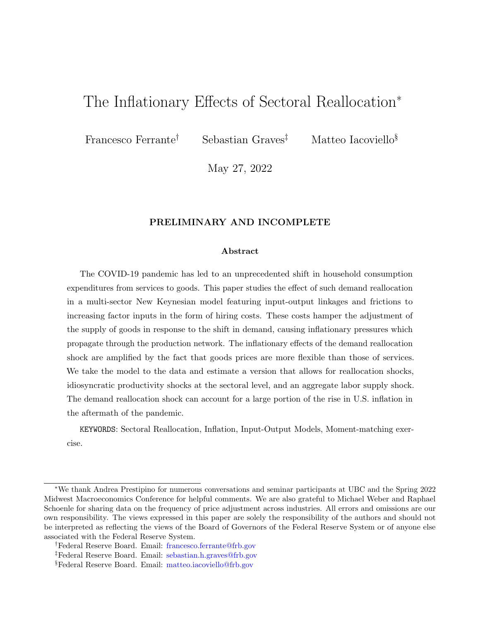# The Inflationary Effects of Sectoral Reallocation<sup>∗</sup>

Francesco Ferrante<sup>†</sup> Sebastian Graves<sup>‡</sup> Matteo Iacoviello<sup>§</sup>

May 27, 2022

### PRELIMINARY AND INCOMPLETE

#### Abstract

The COVID-19 pandemic has led to an unprecedented shift in household consumption expenditures from services to goods. This paper studies the effect of such demand reallocation in a multi-sector New Keynesian model featuring input-output linkages and frictions to increasing factor inputs in the form of hiring costs. These costs hamper the adjustment of the supply of goods in response to the shift in demand, causing inflationary pressures which propagate through the production network. The inflationary effects of the demand reallocation shock are amplified by the fact that goods prices are more flexible than those of services. We take the model to the data and estimate a version that allows for reallocation shocks, idiosyncratic productivity shocks at the sectoral level, and an aggregate labor supply shock. The demand reallocation shock can account for a large portion of the rise in U.S. inflation in the aftermath of the pandemic.

KEYWORDS: Sectoral Reallocation, Inflation, Input-Output Models, Moment-matching exercise.

<sup>∗</sup>We thank Andrea Prestipino for numerous conversations and seminar participants at UBC and the Spring 2022 Midwest Macroeconomics Conference for helpful comments. We are also grateful to Michael Weber and Raphael Schoenle for sharing data on the frequency of price adjustment across industries. All errors and omissions are our own responsibility. The views expressed in this paper are solely the responsibility of the authors and should not be interpreted as reflecting the views of the Board of Governors of the Federal Reserve System or of anyone else associated with the Federal Reserve System.

<sup>†</sup>Federal Reserve Board. Email: [francesco.ferrante@frb.gov](mailto:Francesco_Ferrante)

<sup>‡</sup>Federal Reserve Board. Email: [sebastian.h.graves@frb.gov](mailto:Sebastian_Graves)

<sup>§</sup>Federal Reserve Board. Email: [matteo.iacoviello@frb.gov](mailto:Matteo_Iacoviello)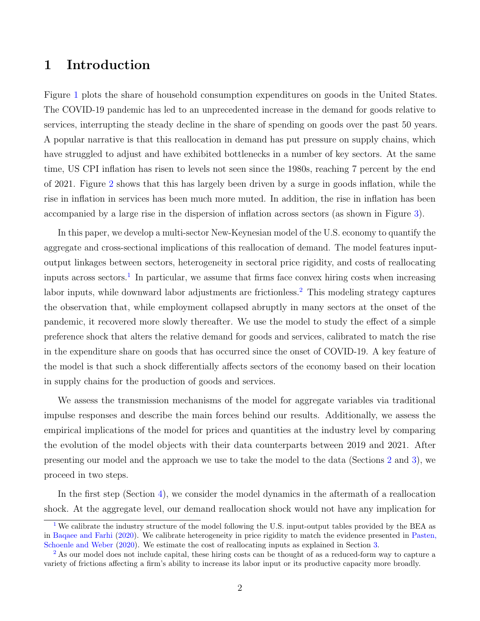### 1 Introduction

Figure [1](#page-16-0) plots the share of household consumption expenditures on goods in the United States. The COVID-19 pandemic has led to an unprecedented increase in the demand for goods relative to services, interrupting the steady decline in the share of spending on goods over the past 50 years. A popular narrative is that this reallocation in demand has put pressure on supply chains, which have struggled to adjust and have exhibited bottlenecks in a number of key sectors. At the same time, US CPI inflation has risen to levels not seen since the 1980s, reaching 7 percent by the end of 2021. Figure [2](#page-17-0) shows that this has largely been driven by a surge in goods inflation, while the rise in inflation in services has been much more muted. In addition, the rise in inflation has been accompanied by a large rise in the dispersion of inflation across sectors (as shown in Figure [3\)](#page-18-0).

<span id="page-1-3"></span><span id="page-1-2"></span>In this paper, we develop a multi-sector New-Keynesian model of the U.S. economy to quantify the aggregate and cross-sectional implications of this reallocation of demand. The model features inputoutput linkages between sectors, heterogeneity in sectoral price rigidity, and costs of reallocating inputs across sectors.<sup>[1](#page-1-0)</sup> In particular, we assume that firms face convex hiring costs when increasing labor inputs, while downward labor adjustments are frictionless.<sup>[2](#page-1-1)</sup> This modeling strategy captures the observation that, while employment collapsed abruptly in many sectors at the onset of the pandemic, it recovered more slowly thereafter. We use the model to study the effect of a simple preference shock that alters the relative demand for goods and services, calibrated to match the rise in the expenditure share on goods that has occurred since the onset of COVID-19. A key feature of the model is that such a shock differentially affects sectors of the economy based on their location in supply chains for the production of goods and services.

We assess the transmission mechanisms of the model for aggregate variables via traditional impulse responses and describe the main forces behind our results. Additionally, we assess the empirical implications of the model for prices and quantities at the industry level by comparing the evolution of the model objects with their data counterparts between 2019 and 2021. After presenting our model and the approach we use to take the model to the data (Sections [2](#page-4-0) and [3\)](#page-8-0), we proceed in two steps.

In the first step (Section [4\)](#page-11-0), we consider the model dynamics in the aftermath of a reallocation shock. At the aggregate level, our demand reallocation shock would not have any implication for

<span id="page-1-0"></span><sup>&</sup>lt;sup>[1](#page-1-2)</sup> We calibrate the industry structure of the model following the U.S. input-output tables provided by the BEA as in [Baqaee and Farhi](#page-29-0) [\(2020\)](#page-29-0). We calibrate heterogeneity in price rigidity to match the evidence presented in [Pasten,](#page-30-0) [Schoenle and Weber](#page-30-0) [\(2020\)](#page-30-0). We estimate the cost of reallocating inputs as explained in Section [3.](#page-8-0)

<span id="page-1-1"></span><sup>&</sup>lt;sup>[2](#page-1-3)</sup> As our model does not include capital, these hiring costs can be thought of as a reduced-form way to capture a variety of frictions affecting a firm's ability to increase its labor input or its productive capacity more broadly.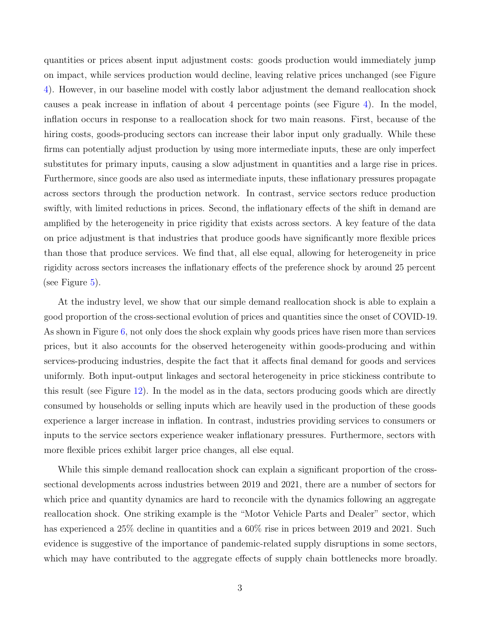quantities or prices absent input adjustment costs: goods production would immediately jump on impact, while services production would decline, leaving relative prices unchanged (see Figure [4\)](#page-19-0). However, in our baseline model with costly labor adjustment the demand reallocation shock causes a peak increase in inflation of about 4 percentage points (see Figure [4\)](#page-19-0). In the model, inflation occurs in response to a reallocation shock for two main reasons. First, because of the hiring costs, goods-producing sectors can increase their labor input only gradually. While these firms can potentially adjust production by using more intermediate inputs, these are only imperfect substitutes for primary inputs, causing a slow adjustment in quantities and a large rise in prices. Furthermore, since goods are also used as intermediate inputs, these inflationary pressures propagate across sectors through the production network. In contrast, service sectors reduce production swiftly, with limited reductions in prices. Second, the inflationary effects of the shift in demand are amplified by the heterogeneity in price rigidity that exists across sectors. A key feature of the data on price adjustment is that industries that produce goods have significantly more flexible prices than those that produce services. We find that, all else equal, allowing for heterogeneity in price rigidity across sectors increases the inflationary effects of the preference shock by around 25 percent (see Figure  $5$ ).

At the industry level, we show that our simple demand reallocation shock is able to explain a good proportion of the cross-sectional evolution of prices and quantities since the onset of COVID-19. As shown in Figure [6,](#page-21-0) not only does the shock explain why goods prices have risen more than services prices, but it also accounts for the observed heterogeneity within goods-producing and within services-producing industries, despite the fact that it affects final demand for goods and services uniformly. Both input-output linkages and sectoral heterogeneity in price stickiness contribute to this result (see Figure [12\)](#page-27-0). In the model as in the data, sectors producing goods which are directly consumed by households or selling inputs which are heavily used in the production of these goods experience a larger increase in inflation. In contrast, industries providing services to consumers or inputs to the service sectors experience weaker inflationary pressures. Furthermore, sectors with more flexible prices exhibit larger price changes, all else equal.

While this simple demand reallocation shock can explain a significant proportion of the crosssectional developments across industries between 2019 and 2021, there are a number of sectors for which price and quantity dynamics are hard to reconcile with the dynamics following an aggregate reallocation shock. One striking example is the "Motor Vehicle Parts and Dealer" sector, which has experienced a 25% decline in quantities and a  $60\%$  rise in prices between 2019 and 2021. Such evidence is suggestive of the importance of pandemic-related supply disruptions in some sectors, which may have contributed to the aggregate effects of supply chain bottlenecks more broadly.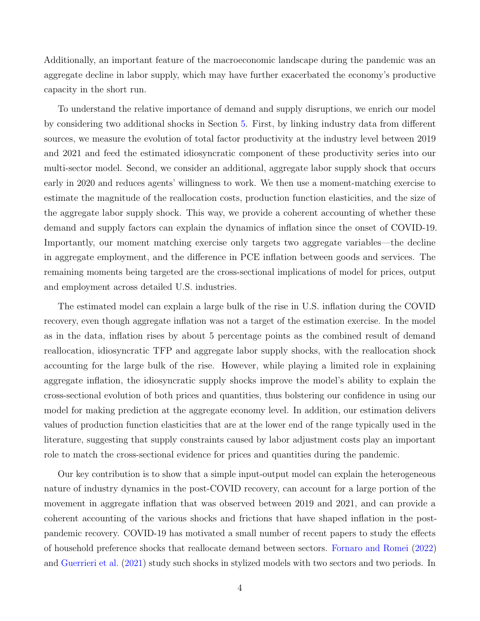Additionally, an important feature of the macroeconomic landscape during the pandemic was an aggregate decline in labor supply, which may have further exacerbated the economy's productive capacity in the short run.

To understand the relative importance of demand and supply disruptions, we enrich our model by considering two additional shocks in Section [5.](#page-13-0) First, by linking industry data from different sources, we measure the evolution of total factor productivity at the industry level between 2019 and 2021 and feed the estimated idiosyncratic component of these productivity series into our multi-sector model. Second, we consider an additional, aggregate labor supply shock that occurs early in 2020 and reduces agents' willingness to work. We then use a moment-matching exercise to estimate the magnitude of the reallocation costs, production function elasticities, and the size of the aggregate labor supply shock. This way, we provide a coherent accounting of whether these demand and supply factors can explain the dynamics of inflation since the onset of COVID-19. Importantly, our moment matching exercise only targets two aggregate variables—the decline in aggregate employment, and the difference in PCE inflation between goods and services. The remaining moments being targeted are the cross-sectional implications of model for prices, output and employment across detailed U.S. industries.

The estimated model can explain a large bulk of the rise in U.S. inflation during the COVID recovery, even though aggregate inflation was not a target of the estimation exercise. In the model as in the data, inflation rises by about 5 percentage points as the combined result of demand reallocation, idiosyncratic TFP and aggregate labor supply shocks, with the reallocation shock accounting for the large bulk of the rise. However, while playing a limited role in explaining aggregate inflation, the idiosyncratic supply shocks improve the model's ability to explain the cross-sectional evolution of both prices and quantities, thus bolstering our confidence in using our model for making prediction at the aggregate economy level. In addition, our estimation delivers values of production function elasticities that are at the lower end of the range typically used in the literature, suggesting that supply constraints caused by labor adjustment costs play an important role to match the cross-sectional evidence for prices and quantities during the pandemic.

Our key contribution is to show that a simple input-output model can explain the heterogeneous nature of industry dynamics in the post-COVID recovery, can account for a large portion of the movement in aggregate inflation that was observed between 2019 and 2021, and can provide a coherent accounting of the various shocks and frictions that have shaped inflation in the postpandemic recovery. COVID-19 has motivated a small number of recent papers to study the effects of household preference shocks that reallocate demand between sectors. [Fornaro and Romei](#page-29-1) [\(2022\)](#page-29-1) and [Guerrieri et al.](#page-29-2) [\(2021\)](#page-29-2) study such shocks in stylized models with two sectors and two periods. In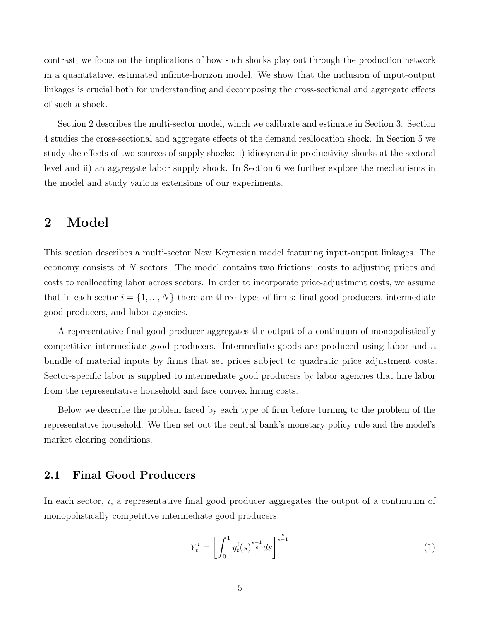contrast, we focus on the implications of how such shocks play out through the production network in a quantitative, estimated infinite-horizon model. We show that the inclusion of input-output linkages is crucial both for understanding and decomposing the cross-sectional and aggregate effects of such a shock.

Section 2 describes the multi-sector model, which we calibrate and estimate in Section 3. Section 4 studies the cross-sectional and aggregate effects of the demand reallocation shock. In Section 5 we study the effects of two sources of supply shocks: i) idiosyncratic productivity shocks at the sectoral level and ii) an aggregate labor supply shock. In Section 6 we further explore the mechanisms in the model and study various extensions of our experiments.

## <span id="page-4-0"></span>2 Model

This section describes a multi-sector New Keynesian model featuring input-output linkages. The economy consists of N sectors. The model contains two frictions: costs to adjusting prices and costs to reallocating labor across sectors. In order to incorporate price-adjustment costs, we assume that in each sector  $i = \{1, ..., N\}$  there are three types of firms: final good producers, intermediate good producers, and labor agencies.

A representative final good producer aggregates the output of a continuum of monopolistically competitive intermediate good producers. Intermediate goods are produced using labor and a bundle of material inputs by firms that set prices subject to quadratic price adjustment costs. Sector-specific labor is supplied to intermediate good producers by labor agencies that hire labor from the representative household and face convex hiring costs.

Below we describe the problem faced by each type of firm before turning to the problem of the representative household. We then set out the central bank's monetary policy rule and the model's market clearing conditions.

### 2.1 Final Good Producers

In each sector,  $i$ , a representative final good producer aggregates the output of a continuum of monopolistically competitive intermediate good producers:

$$
Y_t^i = \left[ \int_0^1 y_t^i(s)^{\frac{\epsilon - 1}{\epsilon}} ds \right]^{\frac{\epsilon}{\epsilon - 1}}
$$
 (1)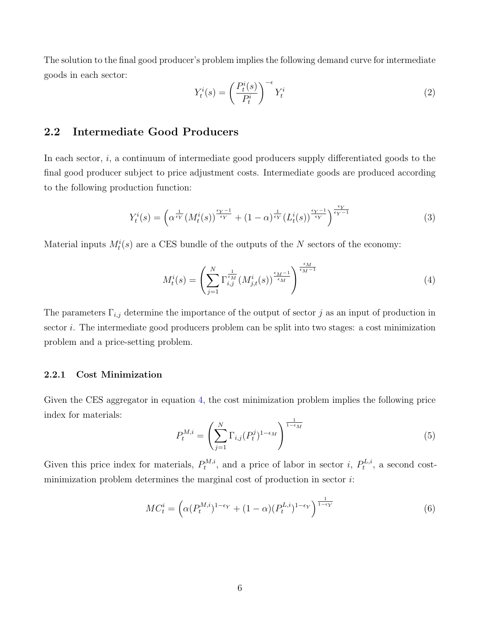The solution to the final good producer's problem implies the following demand curve for intermediate goods in each sector:

$$
Y_t^i(s) = \left(\frac{P_t^i(s)}{P_t^i}\right)^{-\epsilon} Y_t^i
$$
\n<sup>(2)</sup>

### 2.2 Intermediate Good Producers

In each sector, i, a continuum of intermediate good producers supply differentiated goods to the final good producer subject to price adjustment costs. Intermediate goods are produced according to the following production function:

$$
Y_t^i(s) = \left(\alpha^{\frac{1}{\epsilon_Y}}(M_t^i(s))^{\frac{\epsilon_Y - 1}{\epsilon_Y}} + (1 - \alpha)^{\frac{1}{\epsilon_Y}}(L_t^i(s))^{\frac{\epsilon_Y - 1}{\epsilon_Y}}\right)^{\frac{\epsilon_Y}{\epsilon_Y - 1}}
$$
(3)

Material inputs  $M_t^i(s)$  are a CES bundle of the outputs of the N sectors of the economy:

<span id="page-5-0"></span>
$$
M_t^i(s) = \left(\sum_{j=1}^N \Gamma_{i,j}^{\frac{1}{\epsilon_M}}(M_{j,t}^i(s))^{\frac{\epsilon_M - 1}{\epsilon_M}}\right)^{\frac{\epsilon_M}{\epsilon_M - 1}}
$$
(4)

The parameters  $\Gamma_{i,j}$  determine the importance of the output of sector j as an input of production in sector *i*. The intermediate good producers problem can be split into two stages: a cost minimization problem and a price-setting problem.

#### 2.2.1 Cost Minimization

Given the CES aggregator in equation [4,](#page-5-0) the cost minimization problem implies the following price index for materials:

$$
P_t^{M,i} = \left(\sum_{j=1}^N \Gamma_{i,j} (P_t^j)^{1-\epsilon_M}\right)^{\frac{1}{1-\epsilon_M}}
$$
\n
$$
(5)
$$

Given this price index for materials,  $P_t^{M,i}$  $t^{M,i}$ , and a price of labor in sector i,  $P_t^{L,i}$  $t^{L,i}$ , a second costminimization problem determines the marginal cost of production in sector  $i$ :

$$
MC_t^i = \left(\alpha(P_t^{M,i})^{1-\epsilon_Y} + (1-\alpha)(P_t^{L,i})^{1-\epsilon_Y}\right)^{\frac{1}{1-\epsilon_Y}}
$$
\n
$$
(6)
$$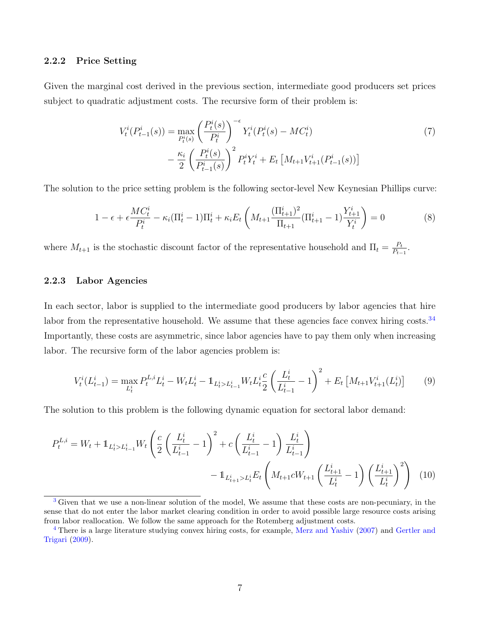#### 2.2.2 Price Setting

Given the marginal cost derived in the previous section, intermediate good producers set prices subject to quadratic adjustment costs. The recursive form of their problem is:

$$
V_t^i(P_{t-1}^i(s)) = \max_{P_t^i(s)} \left(\frac{P_t^i(s)}{P_t^i}\right)^{-\epsilon} Y_t^i(P_t^i(s) - MC_t^i) -\frac{\kappa_i}{2} \left(\frac{P_t^i(s)}{P_{t-1}^i(s)}\right)^2 P_t^i Y_t^i + E_t \left[M_{t+1} V_{t+1}^i(P_{t-1}^i(s))\right]
$$
\n(7)

The solution to the price setting problem is the following sector-level New Keynesian Phillips curve:

<span id="page-6-3"></span><span id="page-6-2"></span>
$$
1 - \epsilon + \epsilon \frac{MC_t^i}{P_t^i} - \kappa_i (\Pi_t^i - 1) \Pi_t^i + \kappa_i E_t \left( M_{t+1} \frac{(\Pi_{t+1}^i)^2}{\Pi_{t+1}} (\Pi_{t+1}^i - 1) \frac{Y_{t+1}^i}{Y_t^i} \right) = 0 \tag{8}
$$

where  $M_{t+1}$  is the stochastic discount factor of the representative household and  $\Pi_t = \frac{P_t}{P_t}$  $\frac{P_t}{P_{t-1}}$ .

#### 2.2.3 Labor Agencies

In each sector, labor is supplied to the intermediate good producers by labor agencies that hire labor from the representative household. We assume that these agencies face convex hiring costs.<sup>[3](#page-6-0)[4](#page-6-1)</sup> Importantly, these costs are asymmetric, since labor agencies have to pay them only when increasing labor. The recursive form of the labor agencies problem is:

<span id="page-6-4"></span>
$$
V_t^i(L_{t-1}^i) = \max_{L_t^i} P_t^{L,i} L_t^i - W_t L_t^i - \mathbb{1}_{L_t^i > L_{t-1}^i} W_t L_t^i \frac{c}{2} \left( \frac{L_t^i}{L_{t-1}^i} - 1 \right)^2 + E_t \left[ M_{t+1} V_{t+1}^i(L_t^i) \right] \tag{9}
$$

The solution to this problem is the following dynamic equation for sectoral labor demand:

$$
P_{t}^{L,i} = W_{t} + \mathbb{1}_{L_{t}^{i} > L_{t-1}^{i}} W_{t} \left( \frac{c}{2} \left( \frac{L_{t}^{i}}{L_{t-1}^{i}} - 1 \right)^{2} + c \left( \frac{L_{t}^{i}}{L_{t-1}^{i}} - 1 \right) \frac{L_{t}^{i}}{L_{t-1}^{i}} \right) - \mathbb{1}_{L_{t+1}^{i} > L_{t}^{i}} E_{t} \left( M_{t+1} c W_{t+1} \left( \frac{L_{t+1}^{i}}{L_{t}^{i}} - 1 \right) \left( \frac{L_{t+1}^{i}}{L_{t}^{i}} \right)^{2} \right) \tag{10}
$$

<span id="page-6-0"></span><sup>&</sup>lt;sup>[3](#page-6-2)</sup> Given that we use a non-linear solution of the model, We assume that these costs are non-pecuniary, in the sense that do not enter the labor market clearing condition in order to avoid possible large resource costs arising from labor reallocation. We follow the same approach for the Rotemberg adjustment costs.

<span id="page-6-1"></span><sup>&</sup>lt;sup>[4](#page-6-3)</sup> There is a large literature studying convex hiring costs, for example, [Merz and Yashiv](#page-29-3) [\(2007\)](#page-29-3) and [Gertler and](#page-29-4) [Trigari](#page-29-4) [\(2009\)](#page-29-4).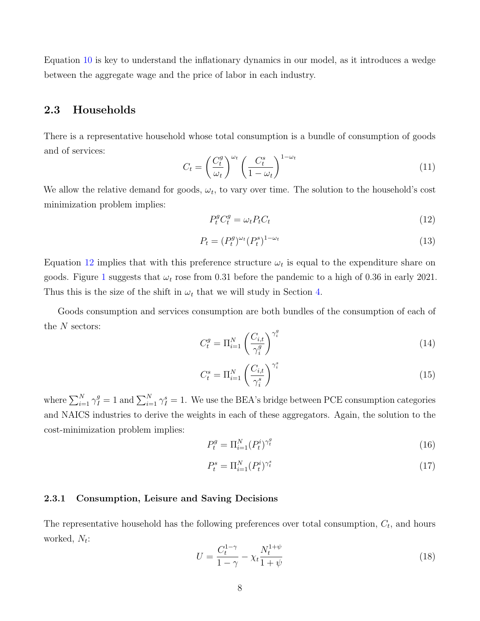<span id="page-7-1"></span>Equation [10](#page-6-4) is key to understand the inflationary dynamics in our model, as it introduces a wedge between the aggregate wage and the price of labor in each industry.

### 2.3 Households

There is a representative household whose total consumption is a bundle of consumption of goods and of services:

<span id="page-7-2"></span>
$$
C_t = \left(\frac{C_t^g}{\omega_t}\right)^{\omega_t} \left(\frac{C_t^s}{1 - \omega_t}\right)^{1 - \omega_t} \tag{11}
$$

We allow the relative demand for goods,  $\omega_t$ , to vary over time. The solution to the household's cost minimization problem implies:

<span id="page-7-0"></span>
$$
P_t^g C_t^g = \omega_t P_t C_t \tag{12}
$$

$$
P_t = (P_t^g)^{\omega_t} (P_t^s)^{1-\omega_t} \tag{13}
$$

Equation [12](#page-7-0) implies that with this preference structure  $\omega_t$  is equal to the expenditure share on goods. Figure [1](#page-16-0) suggests that  $\omega_t$  rose from 0.31 before the pandemic to a high of 0.36 in early 2021. Thus this is the size of the shift in  $\omega_t$  that we will study in Section [4.](#page-11-0)

Goods consumption and services consumption are both bundles of the consumption of each of the  $N$  sectors: g

$$
C_t^g = \Pi_{i=1}^N \left(\frac{C_{i,t}}{\gamma_i^g}\right)^{\gamma_i^g} \tag{14}
$$

$$
C_t^s = \Pi_{i=1}^N \left(\frac{C_{i,t}}{\gamma_i^s}\right)^{\gamma_i^s} \tag{15}
$$

where  $\sum_{i=1}^{N} \gamma_i^g = 1$  and  $\sum_{i=1}^{N} \gamma_i^s = 1$ . We use the BEA's bridge between PCE consumption categories and NAICS industries to derive the weights in each of these aggregators. Again, the solution to the cost-minimization problem implies:

$$
P_t^g = \Pi_{i=1}^N (P_t^i)^{\gamma_t^g} \tag{16}
$$

$$
P_t^s = \Pi_{i=1}^N (P_t^i)^{\gamma_t^s} \tag{17}
$$

#### 2.3.1 Consumption, Leisure and Saving Decisions

The representative household has the following preferences over total consumption,  $C_t$ , and hours worked,  $N_t$ :

$$
U = \frac{C_t^{1-\gamma}}{1-\gamma} - \chi_t \frac{N_t^{1+\psi}}{1+\psi}
$$
 (18)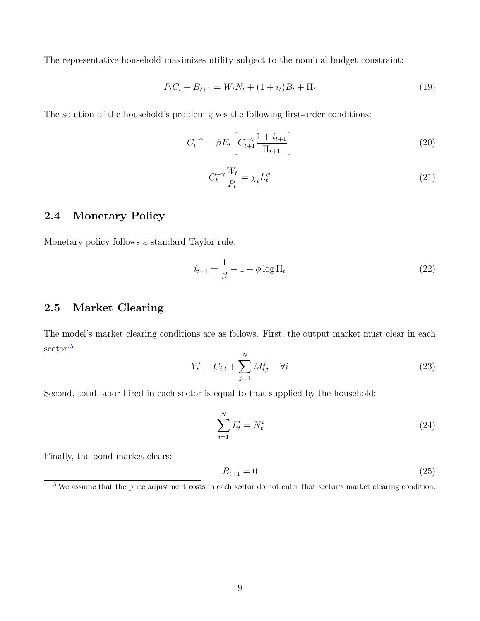The representative household maximizes utility subject to the nominal budget constraint:

$$
P_t C_t + B_{t+1} = W_t N_t + (1 + i_t) B_t + \Pi_t \tag{19}
$$

The solution of the household's problem gives the following first-order conditions:

$$
C_t^{-\gamma} = \beta E_t \left[ C_{t+1}^{-\gamma} \frac{1 + i_{t+1}}{\Pi_{t+1}} \right]
$$
\n
$$
(20)
$$

$$
C_t^{-\gamma} \frac{W_t}{P_t} = \chi_t L_t^{\psi} \tag{21}
$$

### 2.4 Monetary Policy

Monetary policy follows a standard Taylor rule.

$$
i_{t+1} = \frac{1}{\beta} - 1 + \phi \log \Pi_t \tag{22}
$$

### 2.5 Market Clearing

<span id="page-8-2"></span>The model's market clearing conditions are as follows. First, the output market must clear in each sector:<sup>[5](#page-8-1)</sup>

$$
Y_t^i = C_{i,t} + \sum_{j=1}^N M_{i,t}^j \quad \forall i
$$
 (23)

Second, total labor hired in each sector is equal to that supplied by the household:

$$
\sum_{i=1}^{N} L_t^i = N_t^i \tag{24}
$$

Finally, the bond market clears:

$$
B_{t+1} = 0 \tag{25}
$$

<span id="page-8-1"></span><span id="page-8-0"></span> $5$  We assume that the price adjustment costs in each sector do not enter that sector's market clearing condition.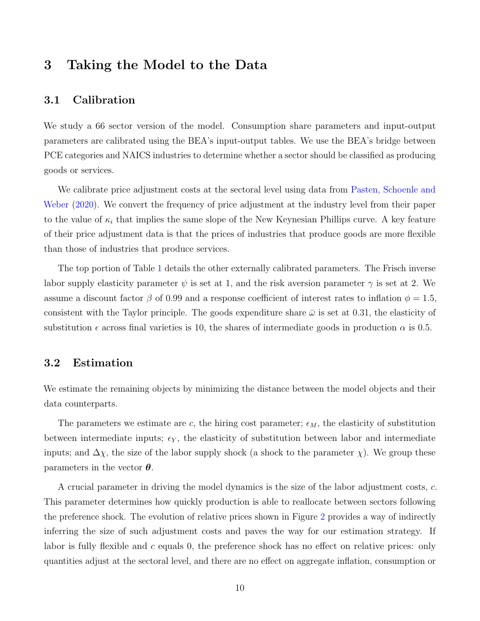### 3 Taking the Model to the Data

### 3.1 Calibration

We study a 66 sector version of the model. Consumption share parameters and input-output parameters are calibrated using the BEA's input-output tables. We use the BEA's bridge between PCE categories and NAICS industries to determine whether a sector should be classified as producing goods or services.

We calibrate price adjustment costs at the sectoral level using data from [Pasten, Schoenle and](#page-30-0) [Weber](#page-30-0) [\(2020\)](#page-30-0). We convert the frequency of price adjustment at the industry level from their paper to the value of  $\kappa_i$  that implies the same slope of the New Keynesian Phillips curve. A key feature of their price adjustment data is that the prices of industries that produce goods are more flexible than those of industries that produce services.

The top portion of Table [1](#page-11-1) details the other externally calibrated parameters. The Frisch inverse labor supply elasticity parameter  $\psi$  is set at 1, and the risk aversion parameter  $\gamma$  is set at 2. We assume a discount factor  $\beta$  of 0.99 and a response coefficient of interest rates to inflation  $\phi = 1.5$ , consistent with the Taylor principle. The goods expenditure share  $\bar{\omega}$  is set at 0.31, the elasticity of substitution  $\epsilon$  across final varieties is 10, the shares of intermediate goods in production  $\alpha$  is 0.5.

### 3.2 Estimation

We estimate the remaining objects by minimizing the distance between the model objects and their data counterparts.

The parameters we estimate are c, the hiring cost parameter;  $\epsilon_M$ , the elasticity of substitution between intermediate inputs;  $\epsilon_Y$ , the elasticity of substitution between labor and intermediate inputs; and  $\Delta \chi$ , the size of the labor supply shock (a shock to the parameter  $\chi$ ). We group these parameters in the vector  $\theta$ .

A crucial parameter in driving the model dynamics is the size of the labor adjustment costs, c. This parameter determines how quickly production is able to reallocate between sectors following the preference shock. The evolution of relative prices shown in Figure [2](#page-17-0) provides a way of indirectly inferring the size of such adjustment costs and paves the way for our estimation strategy. If labor is fully flexible and c equals 0, the preference shock has no effect on relative prices: only quantities adjust at the sectoral level, and there are no effect on aggregate inflation, consumption or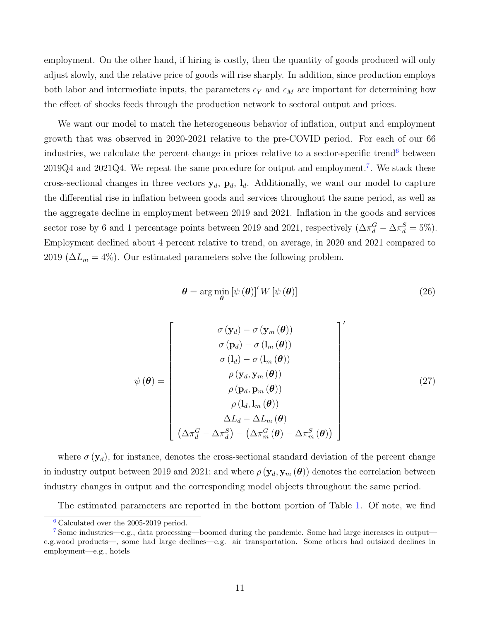employment. On the other hand, if hiring is costly, then the quantity of goods produced will only adjust slowly, and the relative price of goods will rise sharply. In addition, since production employs both labor and intermediate inputs, the parameters  $\epsilon_Y$  and  $\epsilon_M$  are important for determining how the effect of shocks feeds through the production network to sectoral output and prices.

We want our model to match the heterogeneous behavior of inflation, output and employment growth that was observed in 2020-2021 relative to the pre-COVID period. For each of our 66 industries, we calculate the percent change in prices relative to a sector-specific trend<sup>[6](#page-10-0)</sup> between  $2019Q4$  and  $2021Q4$ . We repeat the same procedure for output and employment.<sup>[7](#page-10-1)</sup>. We stack these cross-sectional changes in three vectors  $y_d$ ,  $p_d$ ,  $l_d$ . Additionally, we want our model to capture the differential rise in inflation between goods and services throughout the same period, as well as the aggregate decline in employment between 2019 and 2021. Inflation in the goods and services sector rose by 6 and 1 percentage points between 2019 and 2021, respectively  $(\Delta \pi_d^G - \Delta \pi_d^S = 5\%)$ . Employment declined about 4 percent relative to trend, on average, in 2020 and 2021 compared to 2019 ( $\Delta L_m = 4\%$ ). Our estimated parameters solve the following problem.

<span id="page-10-3"></span><span id="page-10-2"></span>
$$
\boldsymbol{\theta} = \arg\min_{\boldsymbol{\theta}} \left[ \psi\left(\boldsymbol{\theta}\right) \right]' W \left[ \psi\left(\boldsymbol{\theta}\right) \right] \tag{26}
$$

$$
\psi(\boldsymbol{\theta}) = \begin{bmatrix}\n\sigma(\mathbf{y}_d) - \sigma(\mathbf{y}_m(\boldsymbol{\theta})) \\
\sigma(\mathbf{p}_d) - \sigma(\mathbf{l}_m(\boldsymbol{\theta})) \\
\sigma(\mathbf{l}_d) - \sigma(\mathbf{l}_m(\boldsymbol{\theta})) \\
\rho(\mathbf{y}_d, \mathbf{y}_m(\boldsymbol{\theta})) \\
\rho(\mathbf{p}_d, \mathbf{p}_m(\boldsymbol{\theta})) \\
\rho(\mathbf{l}_d, \mathbf{l}_m(\boldsymbol{\theta})) \\
\Delta L_d - \Delta L_m(\boldsymbol{\theta}) \\
(\Delta \pi_d^G - \Delta \pi_d^S) - (\Delta \pi_m^G(\boldsymbol{\theta}) - \Delta \pi_m^S(\boldsymbol{\theta}))\n\end{bmatrix} (27)
$$

where  $\sigma(\mathbf{y}_d)$ , for instance, denotes the cross-sectional standard deviation of the percent change in industry output between 2019 and 2021; and where  $\rho(\mathbf{y}_d, \mathbf{y}_m(\boldsymbol{\theta}))$  denotes the correlation between industry changes in output and the corresponding model objects throughout the same period.

The estimated parameters are reported in the bottom portion of Table [1.](#page-11-1) Of note, we find

<span id="page-10-1"></span><span id="page-10-0"></span>[<sup>6</sup>](#page-10-2) Calculated over the 2005-2019 period.

[<sup>7</sup>](#page-10-3) Some industries—e.g., data processing—boomed during the pandemic. Some had large increases in output e.g.wood products—, some had large declines—e.g. air transportation. Some others had outsized declines in employment—e.g., hotels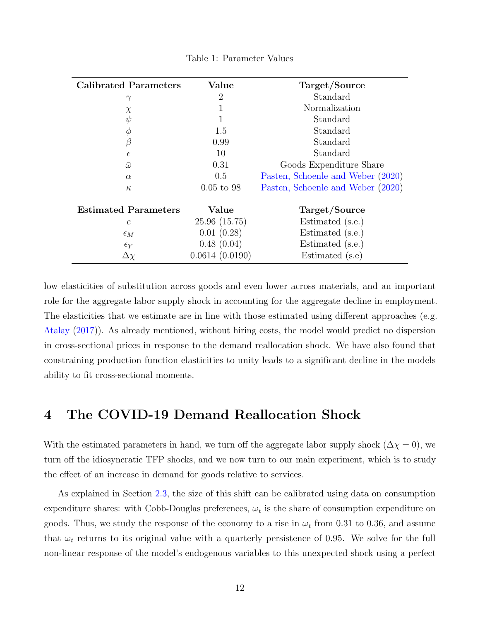<span id="page-11-1"></span>

| <b>Calibrated Parameters</b> | Value          | Target/Source                     |
|------------------------------|----------------|-----------------------------------|
| $\gamma$                     | $\overline{2}$ | Standard                          |
| $\chi$                       |                | Normalization                     |
| $\psi$                       | 1              | Standard                          |
| $\phi$                       | 1.5            | Standard                          |
| $\beta$                      | 0.99           | Standard                          |
| $\epsilon$                   | 10             | Standard                          |
| $\bar{\omega}$               | 0.31           | Goods Expenditure Share           |
| $\alpha$                     | 0.5            | Pasten, Schoenle and Weber (2020) |
| $\kappa$                     | $0.05$ to 98   | Pasten, Schoenle and Weber (2020) |
| <b>Estimated Parameters</b>  | Value          | Target/Source                     |
| $\mathcal{C}_{0}^{0}$        | 25.96(15.75)   | Estimated (s.e.)                  |
| $\epsilon_M$                 | 0.01(0.28)     | Estimated (s.e.)                  |
| $\epsilon_Y$                 | 0.48(0.04)     | Estimated (s.e.)                  |
| $\Delta \chi$                | 0.0614(0.0190) | Estimated (s.e)                   |

Table 1: Parameter Values

low elasticities of substitution across goods and even lower across materials, and an important role for the aggregate labor supply shock in accounting for the aggregate decline in employment. The elasticities that we estimate are in line with those estimated using different approaches (e.g. [Atalay](#page-29-5) [\(2017\)](#page-29-5)). As already mentioned, without hiring costs, the model would predict no dispersion in cross-sectional prices in response to the demand reallocation shock. We have also found that constraining production function elasticities to unity leads to a significant decline in the models ability to fit cross-sectional moments.

### <span id="page-11-0"></span>4 The COVID-19 Demand Reallocation Shock

With the estimated parameters in hand, we turn off the aggregate labor supply shock ( $\Delta \chi = 0$ ), we turn off the idiosyncratic TFP shocks, and we now turn to our main experiment, which is to study the effect of an increase in demand for goods relative to services.

As explained in Section [2.3,](#page-7-1) the size of this shift can be calibrated using data on consumption expenditure shares: with Cobb-Douglas preferences,  $\omega_t$  is the share of consumption expenditure on goods. Thus, we study the response of the economy to a rise in  $\omega_t$  from 0.31 to 0.36, and assume that  $\omega_t$  returns to its original value with a quarterly persistence of 0.95. We solve for the full non-linear response of the model's endogenous variables to this unexpected shock using a perfect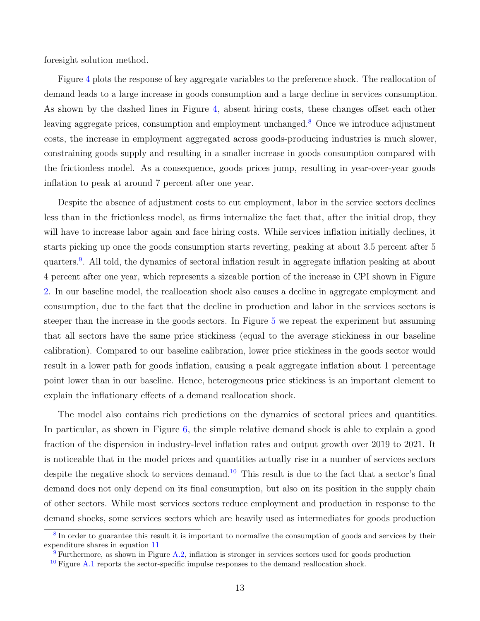foresight solution method.

<span id="page-12-3"></span>Figure [4](#page-19-0) plots the response of key aggregate variables to the preference shock. The reallocation of demand leads to a large increase in goods consumption and a large decline in services consumption. As shown by the dashed lines in Figure [4,](#page-19-0) absent hiring costs, these changes offset each other leaving aggregate prices, consumption and employment unchanged.<sup>[8](#page-12-0)</sup> Once we introduce adjustment costs, the increase in employment aggregated across goods-producing industries is much slower, constraining goods supply and resulting in a smaller increase in goods consumption compared with the frictionless model. As a consequence, goods prices jump, resulting in year-over-year goods inflation to peak at around 7 percent after one year.

<span id="page-12-4"></span>Despite the absence of adjustment costs to cut employment, labor in the service sectors declines less than in the frictionless model, as firms internalize the fact that, after the initial drop, they will have to increase labor again and face hiring costs. While services inflation initially declines, it starts picking up once the goods consumption starts reverting, peaking at about 3.5 percent after 5 quarters.<sup>[9](#page-12-1)</sup>. All told, the dynamics of sectoral inflation result in aggregate inflation peaking at about 4 percent after one year, which represents a sizeable portion of the increase in CPI shown in Figure [2.](#page-17-0) In our baseline model, the reallocation shock also causes a decline in aggregate employment and consumption, due to the fact that the decline in production and labor in the services sectors is steeper than the increase in the goods sectors. In Figure [5](#page-20-0) we repeat the experiment but assuming that all sectors have the same price stickiness (equal to the average stickiness in our baseline calibration). Compared to our baseline calibration, lower price stickiness in the goods sector would result in a lower path for goods inflation, causing a peak aggregate inflation about 1 percentage point lower than in our baseline. Hence, heterogeneous price stickiness is an important element to explain the inflationary effects of a demand reallocation shock.

<span id="page-12-5"></span>The model also contains rich predictions on the dynamics of sectoral prices and quantities. In particular, as shown in Figure [6,](#page-21-0) the simple relative demand shock is able to explain a good fraction of the dispersion in industry-level inflation rates and output growth over 2019 to 2021. It is noticeable that in the model prices and quantities actually rise in a number of services sectors despite the negative shock to services demand.<sup>[10](#page-12-2)</sup> This result is due to the fact that a sector's final demand does not only depend on its final consumption, but also on its position in the supply chain of other sectors. While most services sectors reduce employment and production in response to the demand shocks, some services sectors which are heavily used as intermediates for goods production

<span id="page-12-0"></span><sup>&</sup>lt;sup>[8](#page-12-3)</sup>In order to guarantee this result it is important to normalize the consumption of goods and services by their expenditure shares in equation [11](#page-7-2)

<span id="page-12-1"></span> $\overline{9}$  $\overline{9}$  $\overline{9}$  Furthermore, as shown in Figure [A.2,](#page-32-0) inflation is stronger in services sectors used for goods production

<span id="page-12-2"></span> $10$  Figure [A.1](#page-31-0) reports the sector-specific impulse responses to the demand reallocation shock.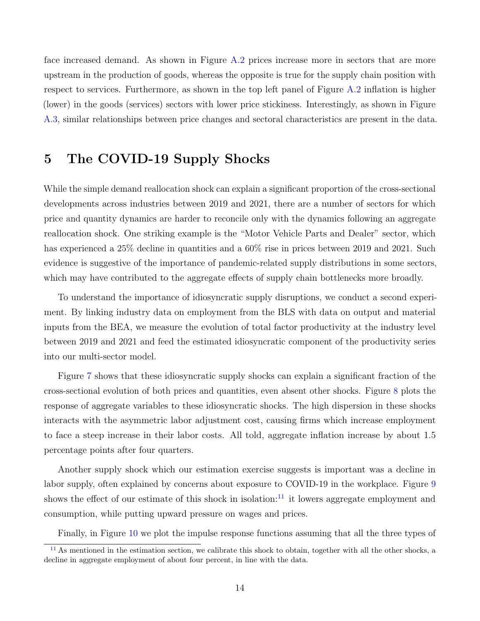face increased demand. As shown in Figure [A.2](#page-32-0) prices increase more in sectors that are more upstream in the production of goods, whereas the opposite is true for the supply chain position with respect to services. Furthermore, as shown in the top left panel of Figure [A.2](#page-32-0) inflation is higher (lower) in the goods (services) sectors with lower price stickiness. Interestingly, as shown in Figure [A.3,](#page-33-0) similar relationships between price changes and sectoral characteristics are present in the data.

## <span id="page-13-0"></span>5 The COVID-19 Supply Shocks

While the simple demand reallocation shock can explain a significant proportion of the cross-sectional developments across industries between 2019 and 2021, there are a number of sectors for which price and quantity dynamics are harder to reconcile only with the dynamics following an aggregate reallocation shock. One striking example is the "Motor Vehicle Parts and Dealer" sector, which has experienced a 25% decline in quantities and a 60% rise in prices between 2019 and 2021. Such evidence is suggestive of the importance of pandemic-related supply distributions in some sectors, which may have contributed to the aggregate effects of supply chain bottlenecks more broadly.

To understand the importance of idiosyncratic supply disruptions, we conduct a second experiment. By linking industry data on employment from the BLS with data on output and material inputs from the BEA, we measure the evolution of total factor productivity at the industry level between 2019 and 2021 and feed the estimated idiosyncratic component of the productivity series into our multi-sector model.

Figure [7](#page-22-0) shows that these idiosyncratic supply shocks can explain a significant fraction of the cross-sectional evolution of both prices and quantities, even absent other shocks. Figure [8](#page-23-0) plots the response of aggregate variables to these idiosyncratic shocks. The high dispersion in these shocks interacts with the asymmetric labor adjustment cost, causing firms which increase employment to face a steep increase in their labor costs. All told, aggregate inflation increase by about 1.5 percentage points after four quarters.

Another supply shock which our estimation exercise suggests is important was a decline in labor supply, often explained by concerns about exposure to COVID-19 in the workplace. Figure [9](#page-24-0) shows the effect of our estimate of this shock in isolation: $^{11}$  $^{11}$  $^{11}$  it lowers aggregate employment and consumption, while putting upward pressure on wages and prices.

<span id="page-13-2"></span><span id="page-13-1"></span>Finally, in Figure [10](#page-25-0) we plot the impulse response functions assuming that all the three types of

 $11$  As mentioned in the estimation section, we calibrate this shock to obtain, together with all the other shocks, a decline in aggregate employment of about four percent, in line with the data.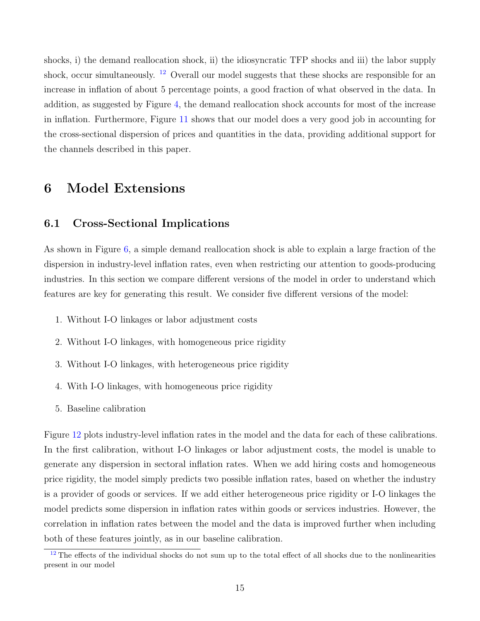<span id="page-14-1"></span>shocks, i) the demand reallocation shock, ii) the idiosyncratic TFP shocks and iii) the labor supply shock, occur simultaneously.  $12$  Overall our model suggests that these shocks are responsible for an increase in inflation of about 5 percentage points, a good fraction of what observed in the data. In addition, as suggested by Figure [4,](#page-19-0) the demand reallocation shock accounts for most of the increase in inflation. Furthermore, Figure [11](#page-26-0) shows that our model does a very good job in accounting for the cross-sectional dispersion of prices and quantities in the data, providing additional support for the channels described in this paper.

### 6 Model Extensions

### 6.1 Cross-Sectional Implications

As shown in Figure [6,](#page-21-0) a simple demand reallocation shock is able to explain a large fraction of the dispersion in industry-level inflation rates, even when restricting our attention to goods-producing industries. In this section we compare different versions of the model in order to understand which features are key for generating this result. We consider five different versions of the model:

- 1. Without I-O linkages or labor adjustment costs
- 2. Without I-O linkages, with homogeneous price rigidity
- 3. Without I-O linkages, with heterogeneous price rigidity
- 4. With I-O linkages, with homogeneous price rigidity
- 5. Baseline calibration

Figure [12](#page-27-0) plots industry-level inflation rates in the model and the data for each of these calibrations. In the first calibration, without I-O linkages or labor adjustment costs, the model is unable to generate any dispersion in sectoral inflation rates. When we add hiring costs and homogeneous price rigidity, the model simply predicts two possible inflation rates, based on whether the industry is a provider of goods or services. If we add either heterogeneous price rigidity or I-O linkages the model predicts some dispersion in inflation rates within goods or services industries. However, the correlation in inflation rates between the model and the data is improved further when including both of these features jointly, as in our baseline calibration.

<span id="page-14-0"></span> $12$  The effects of the individual shocks do not sum up to the total effect of all shocks due to the nonlinearities present in our model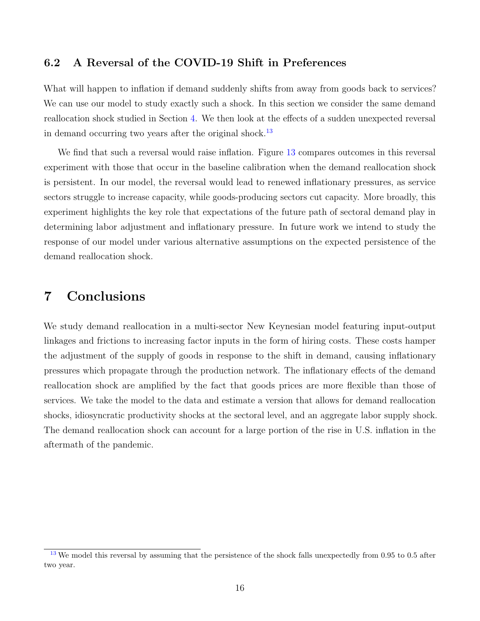### 6.2 A Reversal of the COVID-19 Shift in Preferences

What will happen to inflation if demand suddenly shifts from away from goods back to services? We can use our model to study exactly such a shock. In this section we consider the same demand reallocation shock studied in Section [4.](#page-11-0) We then look at the effects of a sudden unexpected reversal in demand occurring two years after the original shock.<sup>[13](#page-15-0)</sup>

<span id="page-15-1"></span>We find that such a reversal would raise inflation. Figure [13](#page-28-0) compares outcomes in this reversal experiment with those that occur in the baseline calibration when the demand reallocation shock is persistent. In our model, the reversal would lead to renewed inflationary pressures, as service sectors struggle to increase capacity, while goods-producing sectors cut capacity. More broadly, this experiment highlights the key role that expectations of the future path of sectoral demand play in determining labor adjustment and inflationary pressure. In future work we intend to study the response of our model under various alternative assumptions on the expected persistence of the demand reallocation shock.

## 7 Conclusions

We study demand reallocation in a multi-sector New Keynesian model featuring input-output linkages and frictions to increasing factor inputs in the form of hiring costs. These costs hamper the adjustment of the supply of goods in response to the shift in demand, causing inflationary pressures which propagate through the production network. The inflationary effects of the demand reallocation shock are amplified by the fact that goods prices are more flexible than those of services. We take the model to the data and estimate a version that allows for demand reallocation shocks, idiosyncratic productivity shocks at the sectoral level, and an aggregate labor supply shock. The demand reallocation shock can account for a large portion of the rise in U.S. inflation in the aftermath of the pandemic.

<span id="page-15-0"></span> $13$  We model this reversal by assuming that the persistence of the shock falls unexpectedly from 0.95 to 0.5 after two year.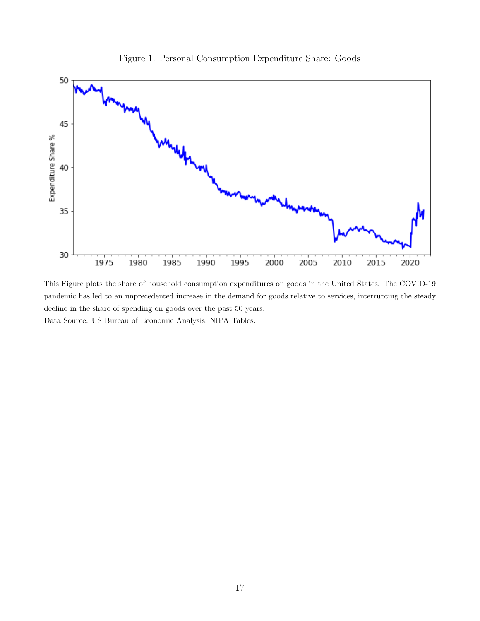<span id="page-16-0"></span>

Figure 1: Personal Consumption Expenditure Share: Goods

This Figure plots the share of household consumption expenditures on goods in the United States. The COVID-19 pandemic has led to an unprecedented increase in the demand for goods relative to services, interrupting the steady decline in the share of spending on goods over the past 50 years. Data Source: US Bureau of Economic Analysis, NIPA Tables.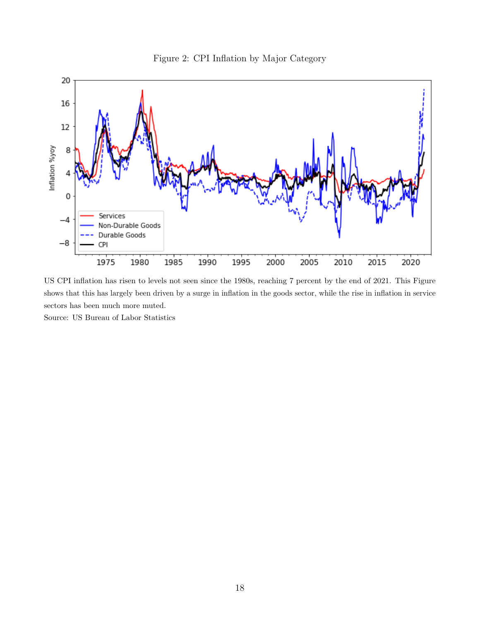

<span id="page-17-0"></span>

US CPI inflation has risen to levels not seen since the 1980s, reaching 7 percent by the end of 2021. This Figure shows that this has largely been driven by a surge in inflation in the goods sector, while the rise in inflation in service sectors has been much more muted.

Source: US Bureau of Labor Statistics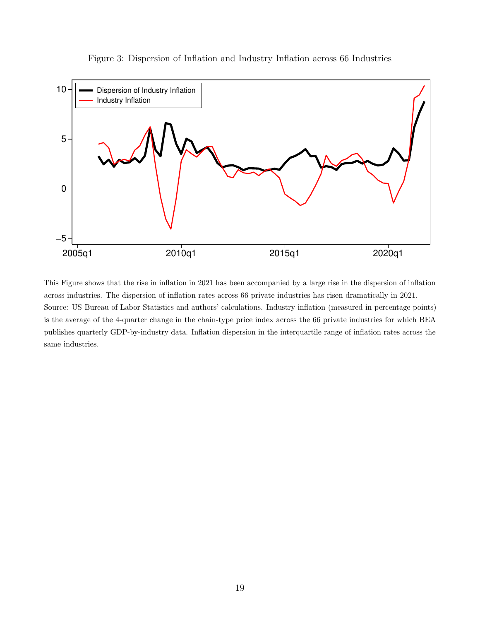<span id="page-18-0"></span>

Figure 3: Dispersion of Inflation and Industry Inflation across 66 Industries

This Figure shows that the rise in inflation in 2021 has been accompanied by a large rise in the dispersion of inflation across industries. The dispersion of inflation rates across 66 private industries has risen dramatically in 2021. Source: US Bureau of Labor Statistics and authors' calculations. Industry inflation (measured in percentage points) is the average of the 4-quarter change in the chain-type price index across the 66 private industries for which BEA publishes quarterly GDP-by-industry data. Inflation dispersion in the interquartile range of inflation rates across the same industries.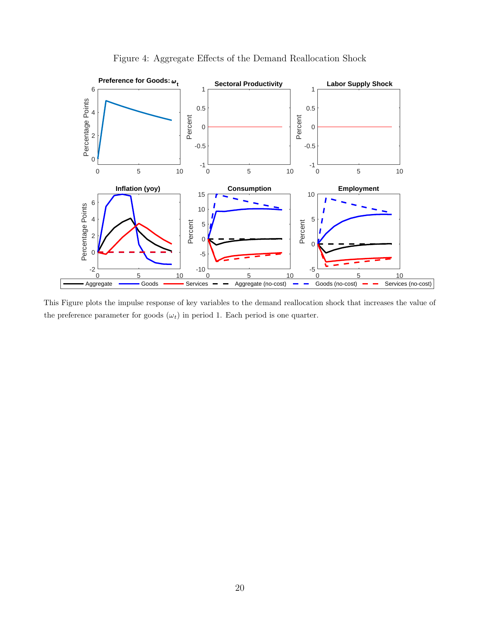<span id="page-19-0"></span>

Figure 4: Aggregate Effects of the Demand Reallocation Shock

This Figure plots the impulse response of key variables to the demand reallocation shock that increases the value of the preference parameter for goods  $(\omega_t)$  in period 1. Each period is one quarter.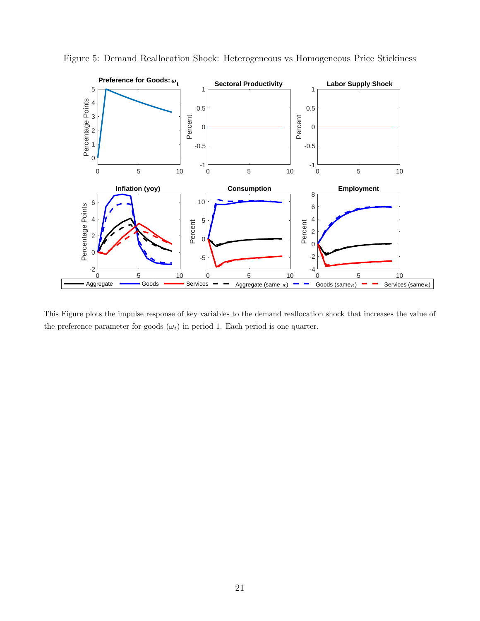

<span id="page-20-0"></span>Figure 5: Demand Reallocation Shock: Heterogeneous vs Homogeneous Price Stickiness

This Figure plots the impulse response of key variables to the demand reallocation shock that increases the value of the preference parameter for goods  $(\omega_t)$  in period 1. Each period is one quarter.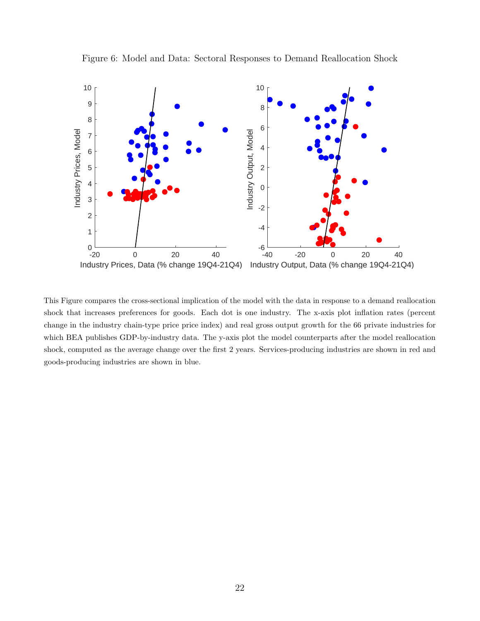<span id="page-21-0"></span>

Figure 6: Model and Data: Sectoral Responses to Demand Reallocation Shock

This Figure compares the cross-sectional implication of the model with the data in response to a demand reallocation shock that increases preferences for goods. Each dot is one industry. The x-axis plot inflation rates (percent change in the industry chain-type price price index) and real gross output growth for the 66 private industries for which BEA publishes GDP-by-industry data. The y-axis plot the model counterparts after the model reallocation shock, computed as the average change over the first 2 years. Services-producing industries are shown in red and goods-producing industries are shown in blue.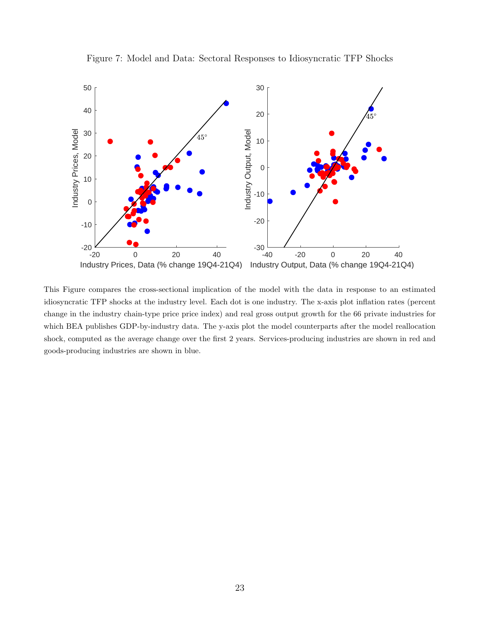<span id="page-22-0"></span>

Figure 7: Model and Data: Sectoral Responses to Idiosyncratic TFP Shocks

This Figure compares the cross-sectional implication of the model with the data in response to an estimated idiosyncratic TFP shocks at the industry level. Each dot is one industry. The x-axis plot inflation rates (percent change in the industry chain-type price price index) and real gross output growth for the 66 private industries for which BEA publishes GDP-by-industry data. The y-axis plot the model counterparts after the model reallocation shock, computed as the average change over the first 2 years. Services-producing industries are shown in red and goods-producing industries are shown in blue.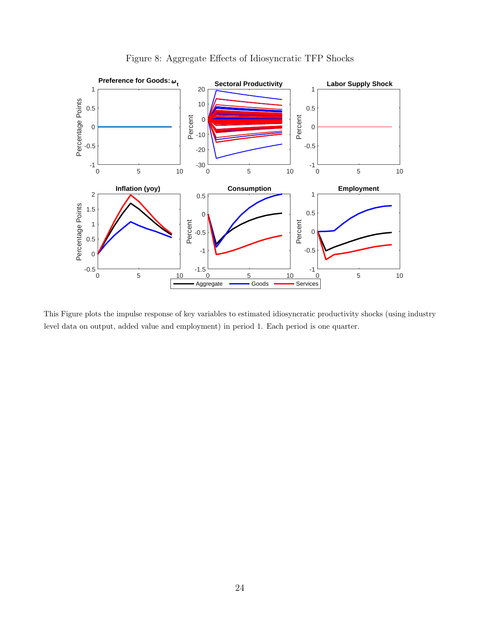<span id="page-23-0"></span>

Figure 8: Aggregate Effects of Idiosyncratic TFP Shocks

This Figure plots the impulse response of key variables to estimated idiosyncratic productivity shocks (using industry level data on output, added value and employment) in period 1. Each period is one quarter.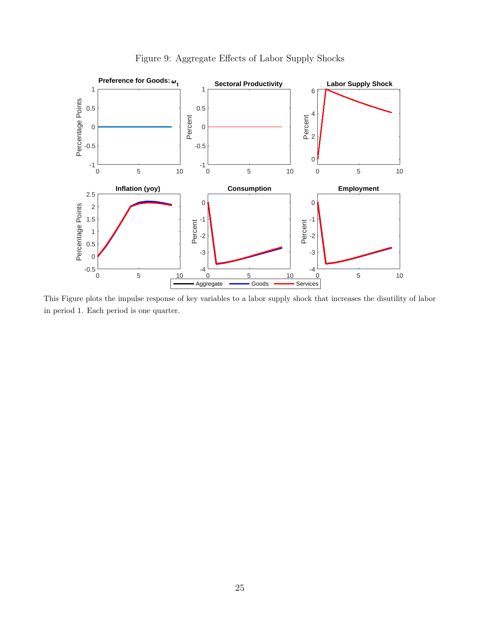<span id="page-24-0"></span>

Figure 9: Aggregate Effects of Labor Supply Shocks

This Figure plots the impulse response of key variables to a labor supply shock that increases the disutility of labor in period 1. Each period is one quarter.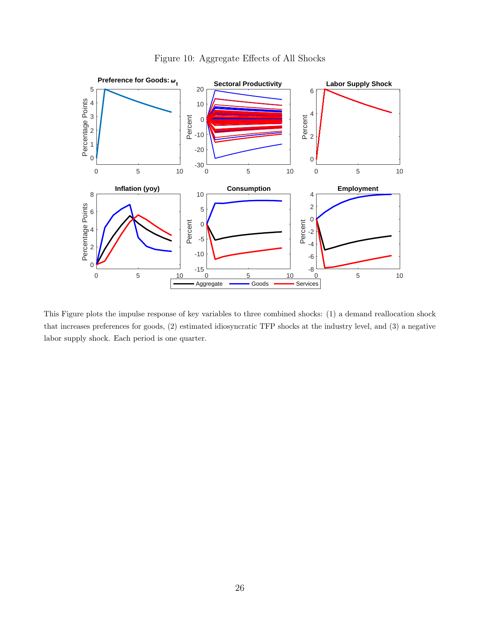<span id="page-25-0"></span>

Figure 10: Aggregate Effects of All Shocks

This Figure plots the impulse response of key variables to three combined shocks: (1) a demand reallocation shock that increases preferences for goods, (2) estimated idiosyncratic TFP shocks at the industry level, and (3) a negative labor supply shock. Each period is one quarter.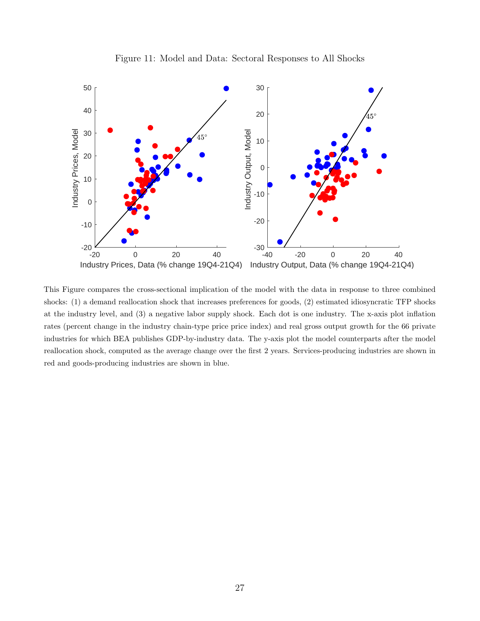<span id="page-26-0"></span>

Figure 11: Model and Data: Sectoral Responses to All Shocks

This Figure compares the cross-sectional implication of the model with the data in response to three combined shocks: (1) a demand reallocation shock that increases preferences for goods, (2) estimated idiosyncratic TFP shocks at the industry level, and (3) a negative labor supply shock. Each dot is one industry. The x-axis plot inflation rates (percent change in the industry chain-type price price index) and real gross output growth for the 66 private industries for which BEA publishes GDP-by-industry data. The y-axis plot the model counterparts after the model reallocation shock, computed as the average change over the first 2 years. Services-producing industries are shown in red and goods-producing industries are shown in blue.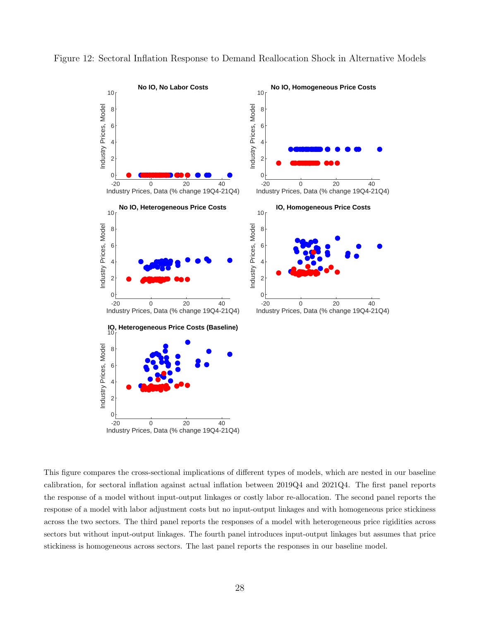

<span id="page-27-0"></span>Figure 12: Sectoral Inflation Response to Demand Reallocation Shock in Alternative Models

This figure compares the cross-sectional implications of different types of models, which are nested in our baseline calibration, for sectoral inflation against actual inflation between 2019Q4 and 2021Q4. The first panel reports the response of a model without input-output linkages or costly labor re-allocation. The second panel reports the response of a model with labor adjustment costs but no input-output linkages and with homogeneous price stickiness across the two sectors. The third panel reports the responses of a model with heterogeneous price rigidities across sectors but without input-output linkages. The fourth panel introduces input-output linkages but assumes that price stickiness is homogeneous across sectors. The last panel reports the responses in our baseline model.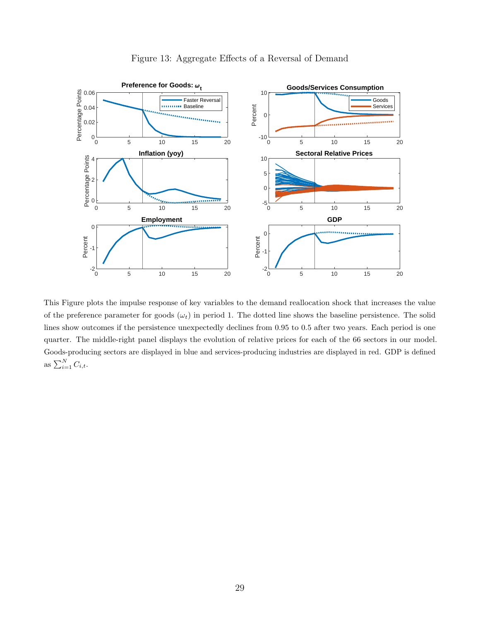<span id="page-28-0"></span>

#### Figure 13: Aggregate Effects of a Reversal of Demand

This Figure plots the impulse response of key variables to the demand reallocation shock that increases the value of the preference parameter for goods  $(\omega_t)$  in period 1. The dotted line shows the baseline persistence. The solid lines show outcomes if the persistence unexpectedly declines from 0.95 to 0.5 after two years. Each period is one quarter. The middle-right panel displays the evolution of relative prices for each of the 66 sectors in our model. Goods-producing sectors are displayed in blue and services-producing industries are displayed in red. GDP is defined as  $\sum_{i=1}^{N} C_{i,t}$ .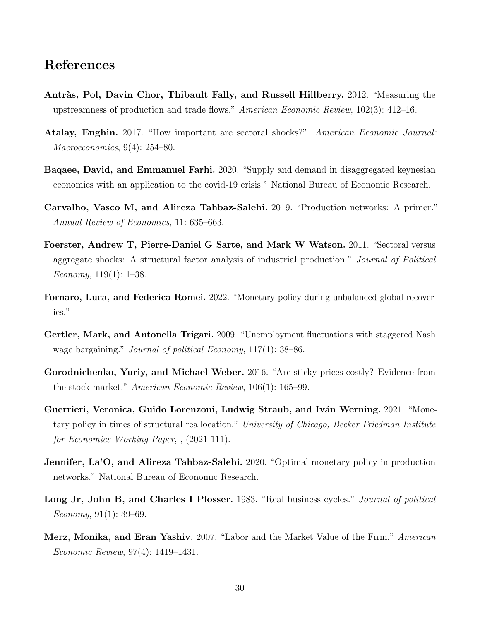### References

- <span id="page-29-6"></span>Antràs, Pol, Davin Chor, Thibault Fally, and Russell Hillberry. 2012. "Measuring the upstreamness of production and trade flows." American Economic Review, 102(3): 412–16.
- <span id="page-29-5"></span>Atalay, Enghin. 2017. "How important are sectoral shocks?" American Economic Journal: Macroeconomics, 9(4): 254–80.
- <span id="page-29-0"></span>Baqaee, David, and Emmanuel Farhi. 2020. "Supply and demand in disaggregated keynesian economies with an application to the covid-19 crisis." National Bureau of Economic Research.
- Carvalho, Vasco M, and Alireza Tahbaz-Salehi. 2019. "Production networks: A primer." Annual Review of Economics, 11: 635–663.
- Foerster, Andrew T, Pierre-Daniel G Sarte, and Mark W Watson. 2011. "Sectoral versus aggregate shocks: A structural factor analysis of industrial production." Journal of Political *Economy*,  $119(1)$ : 1–38.
- <span id="page-29-1"></span>Fornaro, Luca, and Federica Romei. 2022. "Monetary policy during unbalanced global recoveries."
- <span id="page-29-4"></span>Gertler, Mark, and Antonella Trigari. 2009. "Unemployment fluctuations with staggered Nash wage bargaining." *Journal of political Economy*, 117(1): 38–86.
- Gorodnichenko, Yuriy, and Michael Weber. 2016. "Are sticky prices costly? Evidence from the stock market." American Economic Review, 106(1): 165–99.
- <span id="page-29-2"></span>Guerrieri, Veronica, Guido Lorenzoni, Ludwig Straub, and Iván Werning. 2021. "Monetary policy in times of structural reallocation." University of Chicago, Becker Friedman Institute for Economics Working Paper, , (2021-111).
- **Jennifer, La'O, and Alireza Tahbaz-Salehi.** 2020. "Optimal monetary policy in production networks." National Bureau of Economic Research.
- Long Jr, John B, and Charles I Plosser. 1983. "Real business cycles." Journal of political Economy,  $91(1)$ : 39–69.
- <span id="page-29-3"></span>Merz, Monika, and Eran Yashiv. 2007. "Labor and the Market Value of the Firm." American Economic Review, 97(4): 1419–1431.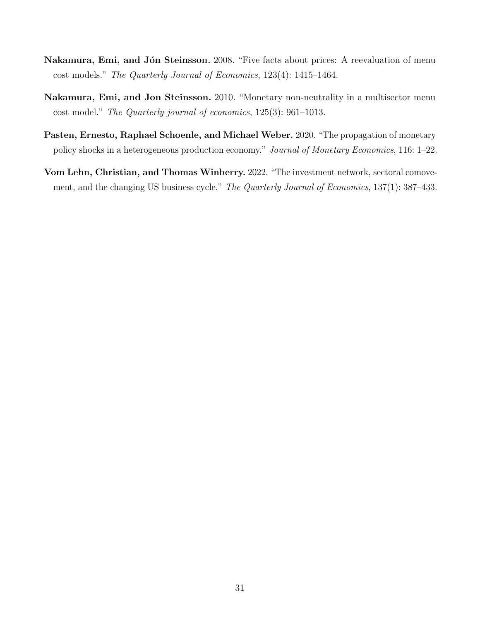- Nakamura, Emi, and Jón Steinsson. 2008. "Five facts about prices: A reevaluation of menu cost models." The Quarterly Journal of Economics, 123(4): 1415–1464.
- Nakamura, Emi, and Jon Steinsson. 2010. "Monetary non-neutrality in a multisector menu cost model." The Quarterly journal of economics, 125(3): 961–1013.
- <span id="page-30-0"></span>Pasten, Ernesto, Raphael Schoenle, and Michael Weber. 2020. "The propagation of monetary policy shocks in a heterogeneous production economy." Journal of Monetary Economics, 116: 1–22.
- Vom Lehn, Christian, and Thomas Winberry. 2022. "The investment network, sectoral comovement, and the changing US business cycle." The Quarterly Journal of Economics, 137(1): 387–433.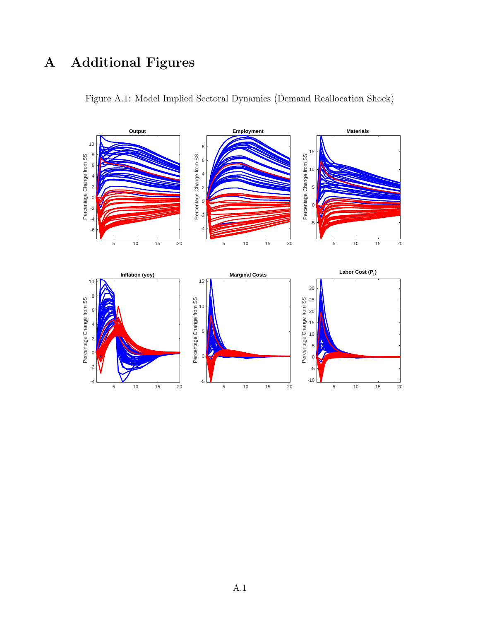# A Additional Figures

<span id="page-31-0"></span>

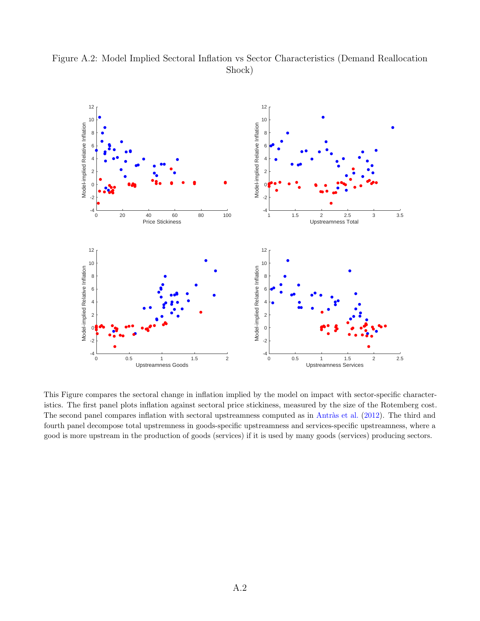

<span id="page-32-0"></span>Figure A.2: Model Implied Sectoral Inflation vs Sector Characteristics (Demand Reallocation Shock)

This Figure compares the sectoral change in inflation implied by the model on impact with sector-specific characteristics. The first panel plots inflation against sectoral price stickiness, measured by the size of the Rotemberg cost. The second panel compares inflation with sectoral upstreamness computed as in Antràs et al. [\(2012\)](#page-29-6). The third and fourth panel decompose total upstremness in goods-specific upstreamness and services-specific upstreamness, where a good is more upstream in the production of goods (services) if it is used by many goods (services) producing sectors.